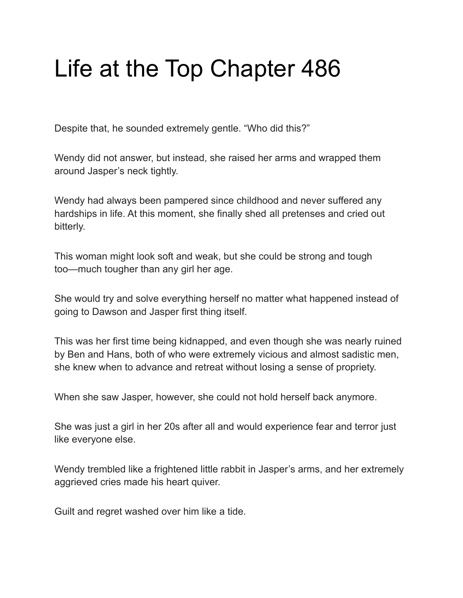## Life at the Top Chapter 486

Despite that, he sounded extremely gentle. "Who did this?"

Wendy did not answer, but instead, she raised her arms and wrapped them around Jasper's neck tightly.

Wendy had always been pampered since childhood and never suffered any hardships in life. At this moment, she finally shed all pretenses and cried out bitterly.

This woman might look soft and weak, but she could be strong and tough too—much tougher than any girl her age.

She would try and solve everything herself no matter what happened instead of going to Dawson and Jasper first thing itself.

This was her first time being kidnapped, and even though she was nearly ruined by Ben and Hans, both of who were extremely vicious and almost sadistic men, she knew when to advance and retreat without losing a sense of propriety.

When she saw Jasper, however, she could not hold herself back anymore.

She was just a girl in her 20s after all and would experience fear and terror just like everyone else.

Wendy trembled like a frightened little rabbit in Jasper's arms, and her extremely aggrieved cries made his heart quiver.

Guilt and regret washed over him like a tide.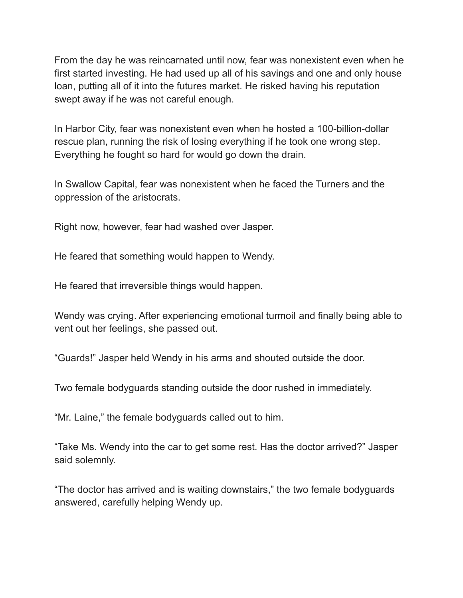From the day he was reincarnated until now, fear was nonexistent even when he first started investing. He had used up all of his savings and one and only house loan, putting all of it into the futures market. He risked having his reputation swept away if he was not careful enough.

In Harbor City, fear was nonexistent even when he hosted a 100-billion-dollar rescue plan, running the risk of losing everything if he took one wrong step. Everything he fought so hard for would go down the drain.

In Swallow Capital, fear was nonexistent when he faced the Turners and the oppression of the aristocrats.

Right now, however, fear had washed over Jasper.

He feared that something would happen to Wendy.

He feared that irreversible things would happen.

Wendy was crying. After experiencing emotional turmoil and finally being able to vent out her feelings, she passed out.

"Guards!" Jasper held Wendy in his arms and shouted outside the door.

Two female bodyguards standing outside the door rushed in immediately.

"Mr. Laine," the female bodyguards called out to him.

"Take Ms. Wendy into the car to get some rest. Has the doctor arrived?" Jasper said solemnly.

"The doctor has arrived and is waiting downstairs," the two female bodyguards answered, carefully helping Wendy up.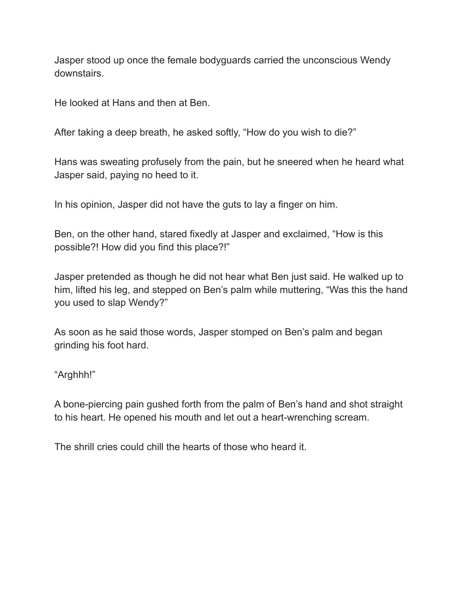Jasper stood up once the female bodyguards carried the unconscious Wendy downstairs.

He looked at Hans and then at Ben.

After taking a deep breath, he asked softly, "How do you wish to die?"

Hans was sweating profusely from the pain, but he sneered when he heard what Jasper said, paying no heed to it.

In his opinion, Jasper did not have the guts to lay a finger on him.

Ben, on the other hand, stared fixedly at Jasper and exclaimed, "How is this possible?! How did you find this place?!"

Jasper pretended as though he did not hear what Ben just said. He walked up to him, lifted his leg, and stepped on Ben's palm while muttering, "Was this the hand you used to slap Wendy?"

As soon as he said those words, Jasper stomped on Ben's palm and began grinding his foot hard.

"Arghhh!"

A bone-piercing pain gushed forth from the palm of Ben's hand and shot straight to his heart. He opened his mouth and let out a heart-wrenching scream.

The shrill cries could chill the hearts of those who heard it.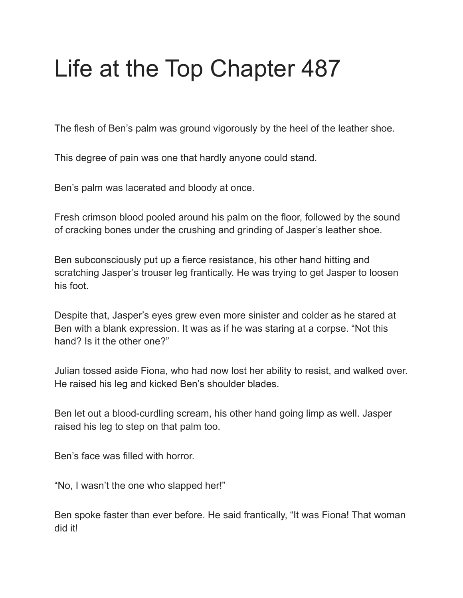# Life at the Top Chapter 487

The flesh of Ben's palm was ground vigorously by the heel of the leather shoe.

This degree of pain was one that hardly anyone could stand.

Ben's palm was lacerated and bloody at once.

Fresh crimson blood pooled around his palm on the floor, followed by the sound of cracking bones under the crushing and grinding of Jasper's leather shoe.

Ben subconsciously put up a fierce resistance, his other hand hitting and scratching Jasper's trouser leg frantically. He was trying to get Jasper to loosen his foot.

Despite that, Jasper's eyes grew even more sinister and colder as he stared at Ben with a blank expression. It was as if he was staring at a corpse. "Not this hand? Is it the other one?"

Julian tossed aside Fiona, who had now lost her ability to resist, and walked over. He raised his leg and kicked Ben's shoulder blades.

Ben let out a blood-curdling scream, his other hand going limp as well. Jasper raised his leg to step on that palm too.

Ben's face was filled with horror.

"No, I wasn't the one who slapped her!"

Ben spoke faster than ever before. He said frantically, "It was Fiona! That woman did it!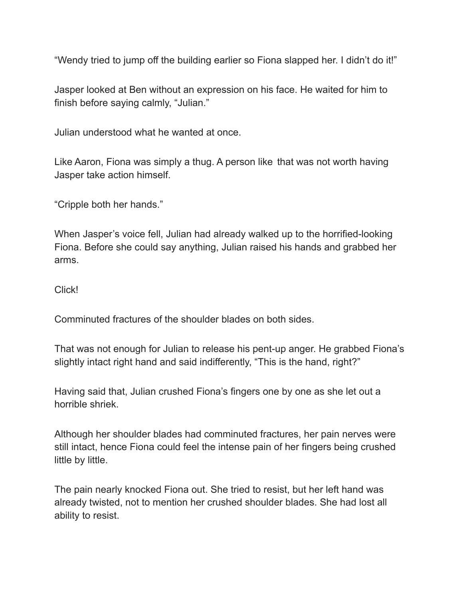"Wendy tried to jump off the building earlier so Fiona slapped her. I didn't do it!"

Jasper looked at Ben without an expression on his face. He waited for him to finish before saying calmly, "Julian."

Julian understood what he wanted at once.

Like Aaron, Fiona was simply a thug. A person like that was not worth having Jasper take action himself.

"Cripple both her hands."

When Jasper's voice fell, Julian had already walked up to the horrified-looking Fiona. Before she could say anything, Julian raised his hands and grabbed her arms.

#### Click!

Comminuted fractures of the shoulder blades on both sides.

That was not enough for Julian to release his pent-up anger. He grabbed Fiona's slightly intact right hand and said indifferently, "This is the hand, right?"

Having said that, Julian crushed Fiona's fingers one by one as she let out a horrible shriek.

Although her shoulder blades had comminuted fractures, her pain nerves were still intact, hence Fiona could feel the intense pain of her fingers being crushed little by little.

The pain nearly knocked Fiona out. She tried to resist, but her left hand was already twisted, not to mention her crushed shoulder blades. She had lost all ability to resist.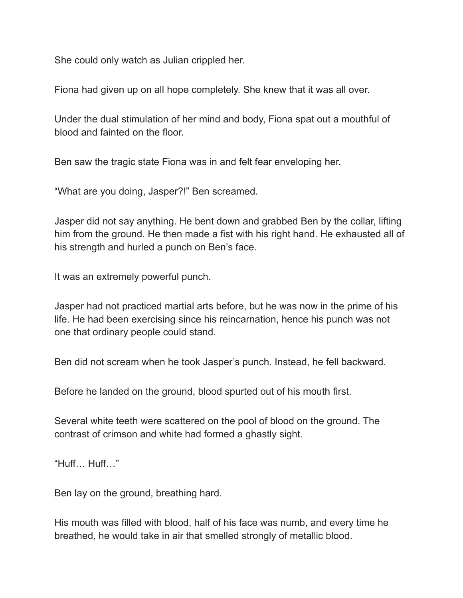She could only watch as Julian crippled her.

Fiona had given up on all hope completely. She knew that it was all over.

Under the dual stimulation of her mind and body, Fiona spat out a mouthful of blood and fainted on the floor.

Ben saw the tragic state Fiona was in and felt fear enveloping her.

"What are you doing, Jasper?!" Ben screamed.

Jasper did not say anything. He bent down and grabbed Ben by the collar, lifting him from the ground. He then made a fist with his right hand. He exhausted all of his strength and hurled a punch on Ben's face.

It was an extremely powerful punch.

Jasper had not practiced martial arts before, but he was now in the prime of his life. He had been exercising since his reincarnation, hence his punch was not one that ordinary people could stand.

Ben did not scream when he took Jasper's punch. Instead, he fell backward.

Before he landed on the ground, blood spurted out of his mouth first.

Several white teeth were scattered on the pool of blood on the ground. The contrast of crimson and white had formed a ghastly sight.

"Huff… Huff…"

Ben lay on the ground, breathing hard.

His mouth was filled with blood, half of his face was numb, and every time he breathed, he would take in air that smelled strongly of metallic blood.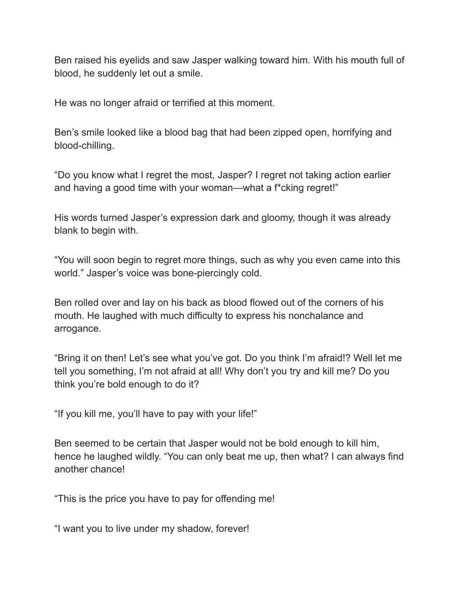Ben raised his eyelids and saw Jasper walking toward him. With his mouth full of blood, he suddenly let out a smile.

He was no longer afraid or terrified at this moment.

Ben's smile looked like a blood bag that had been zipped open, horrifying and blood-chilling.

"Do you know what I regret the most, Jasper? I regret not taking action earlier and having a good time with your woman—what a f\*cking regret!"

His words turned Jasper's expression dark and gloomy, though it was already blank to begin with.

"You will soon begin to regret more things, such as why you even came into this world." Jasper's voice was bone-piercingly cold.

Ben rolled over and lay on his back as blood flowed out of the corners of his mouth. He laughed with much difficulty to express his nonchalance and arrogance.

"Bring it on then! Let's see what you've got. Do you think I'm afraid!? Well let me tell you something, I'm not afraid at all! Why don't you try and kill me? Do you think you're bold enough to do it?

"If you kill me, you'll have to pay with your life!"

Ben seemed to be certain that Jasper would not be bold enough to kill him, hence he laughed wildly. "You can only beat me up, then what? I can always find another chance!

"This is the price you have to pay for offending me!

"I want you to live under my shadow, forever!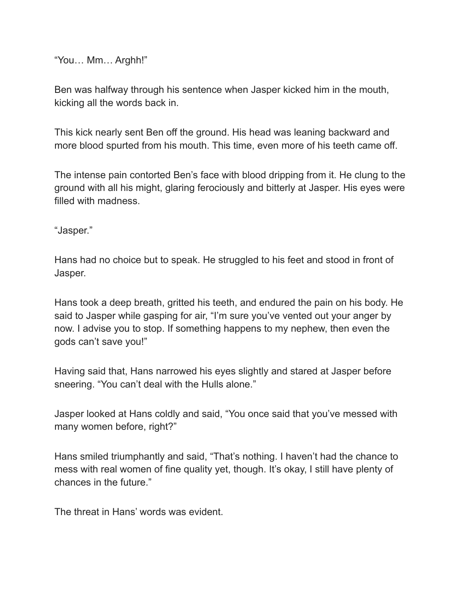"You… Mm… Arghh!"

Ben was halfway through his sentence when Jasper kicked him in the mouth, kicking all the words back in.

This kick nearly sent Ben off the ground. His head was leaning backward and more blood spurted from his mouth. This time, even more of his teeth came off.

The intense pain contorted Ben's face with blood dripping from it. He clung to the ground with all his might, glaring ferociously and bitterly at Jasper. His eyes were filled with madness.

"Jasper."

Hans had no choice but to speak. He struggled to his feet and stood in front of Jasper.

Hans took a deep breath, gritted his teeth, and endured the pain on his body. He said to Jasper while gasping for air, "I'm sure you've vented out your anger by now. I advise you to stop. If something happens to my nephew, then even the gods can't save you!"

Having said that, Hans narrowed his eyes slightly and stared at Jasper before sneering. "You can't deal with the Hulls alone."

Jasper looked at Hans coldly and said, "You once said that you've messed with many women before, right?"

Hans smiled triumphantly and said, "That's nothing. I haven't had the chance to mess with real women of fine quality yet, though. It's okay, I still have plenty of chances in the future."

The threat in Hans' words was evident.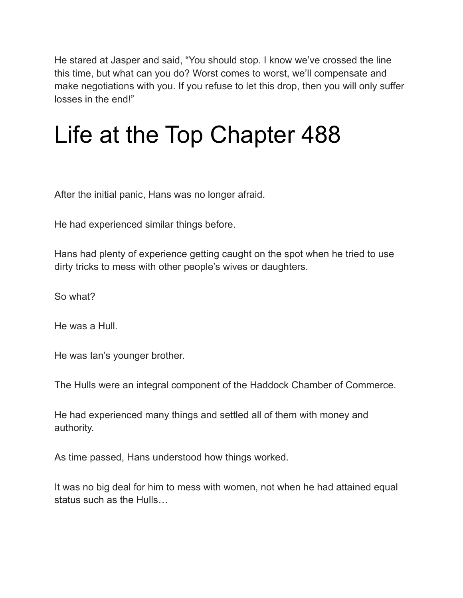He stared at Jasper and said, "You should stop. I know we've crossed the line this time, but what can you do? Worst comes to worst, we'll compensate and make negotiations with you. If you refuse to let this drop, then you will only suffer losses in the end!"

#### Life at the Top Chapter 488

After the initial panic, Hans was no longer afraid.

He had experienced similar things before.

Hans had plenty of experience getting caught on the spot when he tried to use dirty tricks to mess with other people's wives or daughters.

So what?

He was a Hull.

He was Ian's younger brother.

The Hulls were an integral component of the Haddock Chamber of Commerce.

He had experienced many things and settled all of them with money and authority.

As time passed, Hans understood how things worked.

It was no big deal for him to mess with women, not when he had attained equal status such as the Hulls…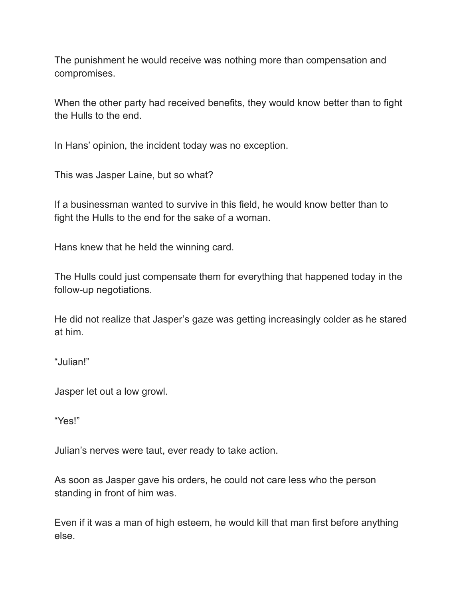The punishment he would receive was nothing more than compensation and compromises.

When the other party had received benefits, they would know better than to fight the Hulls to the end.

In Hans' opinion, the incident today was no exception.

This was Jasper Laine, but so what?

If a businessman wanted to survive in this field, he would know better than to fight the Hulls to the end for the sake of a woman.

Hans knew that he held the winning card.

The Hulls could just compensate them for everything that happened today in the follow-up negotiations.

He did not realize that Jasper's gaze was getting increasingly colder as he stared at him.

"Julian!"

Jasper let out a low growl.

"Yes!"

Julian's nerves were taut, ever ready to take action.

As soon as Jasper gave his orders, he could not care less who the person standing in front of him was.

Even if it was a man of high esteem, he would kill that man first before anything else.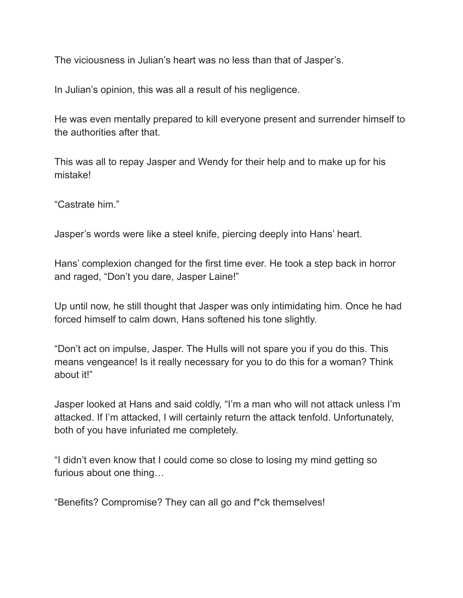The viciousness in Julian's heart was no less than that of Jasper's.

In Julian's opinion, this was all a result of his negligence.

He was even mentally prepared to kill everyone present and surrender himself to the authorities after that.

This was all to repay Jasper and Wendy for their help and to make up for his mistake!

"Castrate him."

Jasper's words were like a steel knife, piercing deeply into Hans' heart.

Hans' complexion changed for the first time ever. He took a step back in horror and raged, "Don't you dare, Jasper Laine!"

Up until now, he still thought that Jasper was only intimidating him. Once he had forced himself to calm down, Hans softened his tone slightly.

"Don't act on impulse, Jasper. The Hulls will not spare you if you do this. This means vengeance! Is it really necessary for you to do this for a woman? Think about it!"

Jasper looked at Hans and said coldly, "I'm a man who will not attack unless I'm attacked. If I'm attacked, I will certainly return the attack tenfold. Unfortunately, both of you have infuriated me completely.

"I didn't even know that I could come so close to losing my mind getting so furious about one thing…

"Benefits? Compromise? They can all go and f\*ck themselves!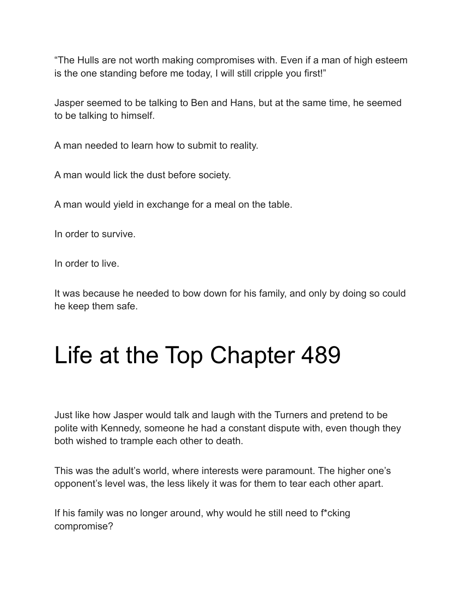"The Hulls are not worth making compromises with. Even if a man of high esteem is the one standing before me today, I will still cripple you first!"

Jasper seemed to be talking to Ben and Hans, but at the same time, he seemed to be talking to himself.

A man needed to learn how to submit to reality.

A man would lick the dust before society.

A man would yield in exchange for a meal on the table.

In order to survive.

In order to live.

It was because he needed to bow down for his family, and only by doing so could he keep them safe.

### Life at the Top Chapter 489

Just like how Jasper would talk and laugh with the Turners and pretend to be polite with Kennedy, someone he had a constant dispute with, even though they both wished to trample each other to death.

This was the adult's world, where interests were paramount. The higher one's opponent's level was, the less likely it was for them to tear each other apart.

If his family was no longer around, why would he still need to f\*cking compromise?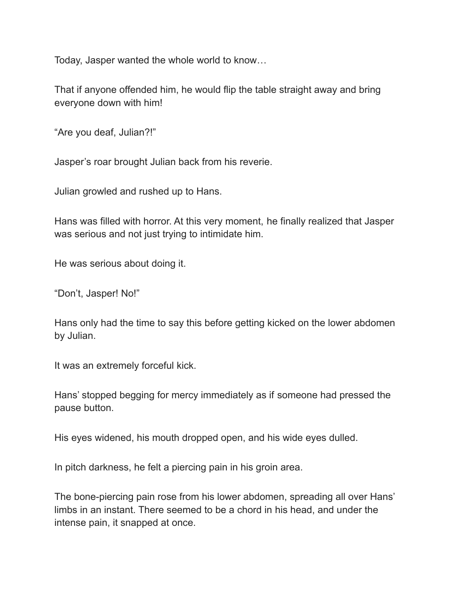Today, Jasper wanted the whole world to know…

That if anyone offended him, he would flip the table straight away and bring everyone down with him!

"Are you deaf, Julian?!"

Jasper's roar brought Julian back from his reverie.

Julian growled and rushed up to Hans.

Hans was filled with horror. At this very moment, he finally realized that Jasper was serious and not just trying to intimidate him.

He was serious about doing it.

"Don't, Jasper! No!"

Hans only had the time to say this before getting kicked on the lower abdomen by Julian.

It was an extremely forceful kick.

Hans' stopped begging for mercy immediately as if someone had pressed the pause button.

His eyes widened, his mouth dropped open, and his wide eyes dulled.

In pitch darkness, he felt a piercing pain in his groin area.

The bone-piercing pain rose from his lower abdomen, spreading all over Hans' limbs in an instant. There seemed to be a chord in his head, and under the intense pain, it snapped at once.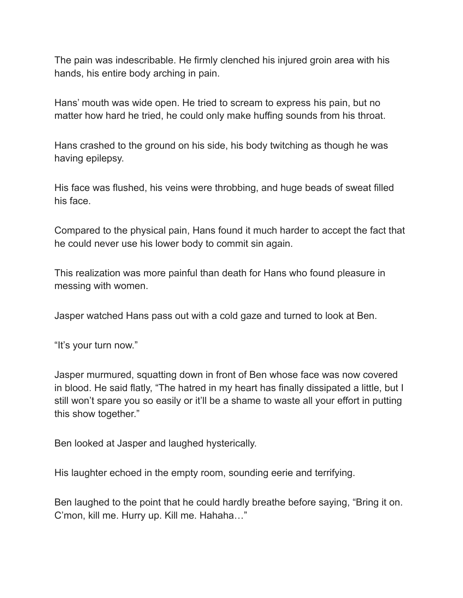The pain was indescribable. He firmly clenched his injured groin area with his hands, his entire body arching in pain.

Hans' mouth was wide open. He tried to scream to express his pain, but no matter how hard he tried, he could only make huffing sounds from his throat.

Hans crashed to the ground on his side, his body twitching as though he was having epilepsy.

His face was flushed, his veins were throbbing, and huge beads of sweat filled his face.

Compared to the physical pain, Hans found it much harder to accept the fact that he could never use his lower body to commit sin again.

This realization was more painful than death for Hans who found pleasure in messing with women.

Jasper watched Hans pass out with a cold gaze and turned to look at Ben.

"It's your turn now."

Jasper murmured, squatting down in front of Ben whose face was now covered in blood. He said flatly, "The hatred in my heart has finally dissipated a little, but I still won't spare you so easily or it'll be a shame to waste all your effort in putting this show together."

Ben looked at Jasper and laughed hysterically.

His laughter echoed in the empty room, sounding eerie and terrifying.

Ben laughed to the point that he could hardly breathe before saying, "Bring it on. C'mon, kill me. Hurry up. Kill me. Hahaha…"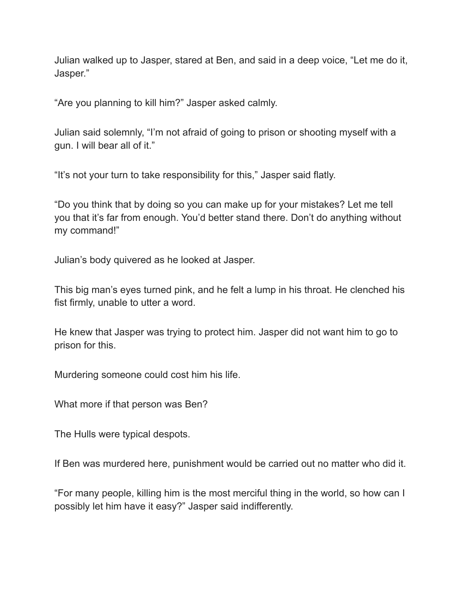Julian walked up to Jasper, stared at Ben, and said in a deep voice, "Let me do it, Jasper."

"Are you planning to kill him?" Jasper asked calmly.

Julian said solemnly, "I'm not afraid of going to prison or shooting myself with a gun. I will bear all of it."

"It's not your turn to take responsibility for this," Jasper said flatly.

"Do you think that by doing so you can make up for your mistakes? Let me tell you that it's far from enough. You'd better stand there. Don't do anything without my command!"

Julian's body quivered as he looked at Jasper.

This big man's eyes turned pink, and he felt a lump in his throat. He clenched his fist firmly, unable to utter a word.

He knew that Jasper was trying to protect him. Jasper did not want him to go to prison for this.

Murdering someone could cost him his life.

What more if that person was Ben?

The Hulls were typical despots.

If Ben was murdered here, punishment would be carried out no matter who did it.

"For many people, killing him is the most merciful thing in the world, so how can I possibly let him have it easy?" Jasper said indifferently.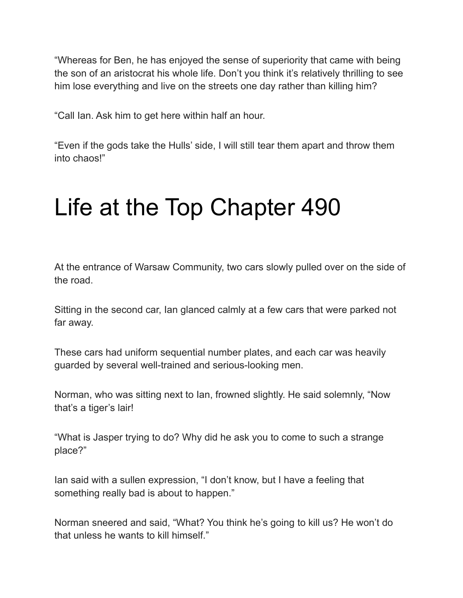"Whereas for Ben, he has enjoyed the sense of superiority that came with being the son of an aristocrat his whole life. Don't you think it's relatively thrilling to see him lose everything and live on the streets one day rather than killing him?

"Call Ian. Ask him to get here within half an hour.

"Even if the gods take the Hulls' side, I will still tear them apart and throw them into chaos!"

#### Life at the Top Chapter 490

At the entrance of Warsaw Community, two cars slowly pulled over on the side of the road.

Sitting in the second car, Ian glanced calmly at a few cars that were parked not far away.

These cars had uniform sequential number plates, and each car was heavily guarded by several well-trained and serious-looking men.

Norman, who was sitting next to Ian, frowned slightly. He said solemnly, "Now that's a tiger's lair!

"What is Jasper trying to do? Why did he ask you to come to such a strange place?"

Ian said with a sullen expression, "I don't know, but I have a feeling that something really bad is about to happen."

Norman sneered and said, "What? You think he's going to kill us? He won't do that unless he wants to kill himself."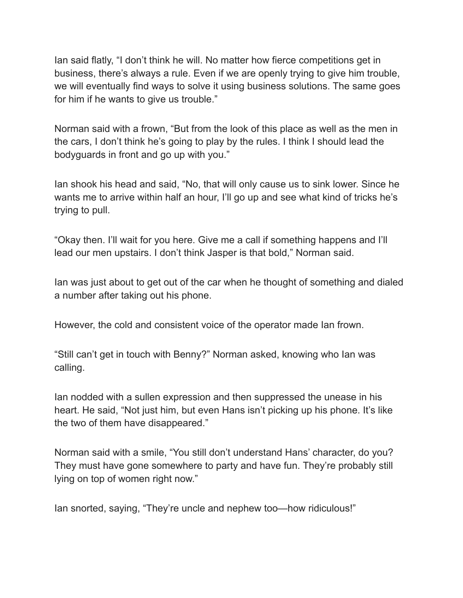Ian said flatly, "I don't think he will. No matter how fierce competitions get in business, there's always a rule. Even if we are openly trying to give him trouble, we will eventually find ways to solve it using business solutions. The same goes for him if he wants to give us trouble."

Norman said with a frown, "But from the look of this place as well as the men in the cars, I don't think he's going to play by the rules. I think I should lead the bodyguards in front and go up with you."

Ian shook his head and said, "No, that will only cause us to sink lower. Since he wants me to arrive within half an hour, I'll go up and see what kind of tricks he's trying to pull.

"Okay then. I'll wait for you here. Give me a call if something happens and I'll lead our men upstairs. I don't think Jasper is that bold," Norman said.

Ian was just about to get out of the car when he thought of something and dialed a number after taking out his phone.

However, the cold and consistent voice of the operator made Ian frown.

"Still can't get in touch with Benny?" Norman asked, knowing who Ian was calling.

Ian nodded with a sullen expression and then suppressed the unease in his heart. He said, "Not just him, but even Hans isn't picking up his phone. It's like the two of them have disappeared."

Norman said with a smile, "You still don't understand Hans' character, do you? They must have gone somewhere to party and have fun. They're probably still lying on top of women right now."

Ian snorted, saying, "They're uncle and nephew too—how ridiculous!"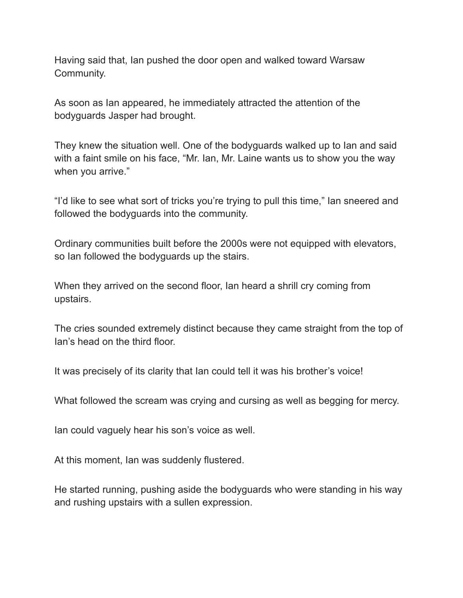Having said that, Ian pushed the door open and walked toward Warsaw Community.

As soon as Ian appeared, he immediately attracted the attention of the bodyguards Jasper had brought.

They knew the situation well. One of the bodyguards walked up to Ian and said with a faint smile on his face, "Mr. Ian, Mr. Laine wants us to show you the way when you arrive."

"I'd like to see what sort of tricks you're trying to pull this time," Ian sneered and followed the bodyguards into the community.

Ordinary communities built before the 2000s were not equipped with elevators, so Ian followed the bodyguards up the stairs.

When they arrived on the second floor, Ian heard a shrill cry coming from upstairs.

The cries sounded extremely distinct because they came straight from the top of Ian's head on the third floor.

It was precisely of its clarity that Ian could tell it was his brother's voice!

What followed the scream was crying and cursing as well as begging for mercy.

Ian could vaguely hear his son's voice as well.

At this moment, Ian was suddenly flustered.

He started running, pushing aside the bodyguards who were standing in his way and rushing upstairs with a sullen expression.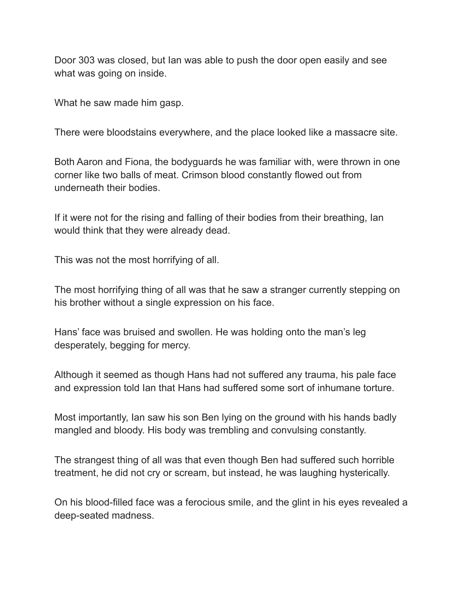Door 303 was closed, but Ian was able to push the door open easily and see what was going on inside.

What he saw made him gasp.

There were bloodstains everywhere, and the place looked like a massacre site.

Both Aaron and Fiona, the bodyguards he was familiar with, were thrown in one corner like two balls of meat. Crimson blood constantly flowed out from underneath their bodies.

If it were not for the rising and falling of their bodies from their breathing, Ian would think that they were already dead.

This was not the most horrifying of all.

The most horrifying thing of all was that he saw a stranger currently stepping on his brother without a single expression on his face.

Hans' face was bruised and swollen. He was holding onto the man's leg desperately, begging for mercy.

Although it seemed as though Hans had not suffered any trauma, his pale face and expression told Ian that Hans had suffered some sort of inhumane torture.

Most importantly, Ian saw his son Ben lying on the ground with his hands badly mangled and bloody. His body was trembling and convulsing constantly.

The strangest thing of all was that even though Ben had suffered such horrible treatment, he did not cry or scream, but instead, he was laughing hysterically.

On his blood-filled face was a ferocious smile, and the glint in his eyes revealed a deep-seated madness.